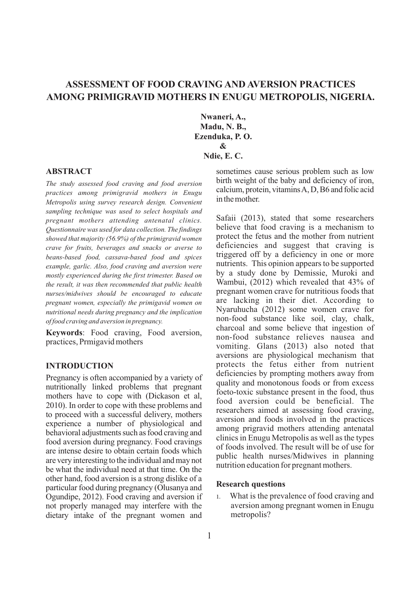# **ASSESSMENT OF FOOD CRAVING AND AVERSION PRACTICES AMONG PRIMIGRAVID MOTHERS IN ENUGU METROPOLIS, NIGERIA.**

**Nwaneri, A., Madu, N. B., Ezenduka, P. O. & Ndie, E. C.**

## **ABSTRACT**

*The study assessed food craving and food aversion practices among primigravid mothers in Enugu Metropolis using survey research design. Convenient sampling technique was used to select hospitals and pregnant mothers attending antenatal clinics. Questionnaire was used for data collection. The findings showed that majority (56.9%) of the primigravid women crave for fruits, beverages and snacks or averse to beans-based food, cassava-based food and spices example, garlic. Also, food craving and aversion were mostly experienced during the first trimester. Based on the result, it was then recommended that public health nurses/midwives should be encouraged to educate pregnant women, especially the primigavid women on nutritional needs during pregnancy and the implication of food craving and aversion in pregnancy.*

**Keywords**: Food craving, Food aversion, practices, Prmigavid mothers

## **INTRODUCTION**

Pregnancy is often accompanied by a variety of nutritionally linked problems that pregnant mothers have to cope with (Dickason et al, 2010). In order to cope with these problems and to proceed with a successful delivery, mothers experience a number of physiological and behavioral adjustments such as food craving and food aversion during pregnancy. Food cravings are intense desire to obtain certain foods which are very interesting to the individual andmay not be what the individual need at that time. On the other hand, food aversion is a strong dislike of a particular food during pregnancy (Olusanya and Ogundipe, 2012). Food craving and aversion if not properly managed may interfere with the dietary intake of the pregnant women and sometimes cause serious problem such as low birth weight of the baby and deficiency of iron, calcium, protein, vitaminsA,D,B6 and folic acid in the mother.

Safaii (2013), stated that some researchers believe that food craving is a mechanism to protect the fetus and the mother from nutrient deficiencies and suggest that craving is triggered off by a deficiency in one or more nutrients. This opinion appears to be supported by a study done by Demissie, Muroki and Wambui, (2012) which revealed that 43% of pregnant women crave for nutritious foods that are lacking in their diet. According to Nyaruhucha (2012) some women crave for non-food substance like soil, clay, chalk, charcoal and some believe that ingestion of non-food substance relieves nausea and vomiting. Glans (2013) also noted that aversions are physiological mechanism that protects the fetus either from nutrient deficiencies by prompting mothers away from quality and monotonous foods or from excess foeto-toxic substance present in the food, thus food aversion could be beneficial. The researchers aimed at assessing food craving, aversion and foods involved in the practices among prigravid mothers attending antenatal clinics in Enugu Metropolis as well as the types of foods involved. The result will be of use for public health nurses/Midwives in planning nutrition education for pregnant mothers.

#### **Research questions**

1. What is the prevalence of food craving and aversion among pregnant women in Enugu metropolis?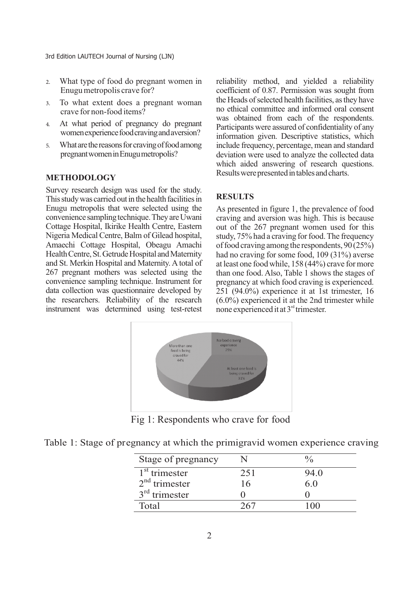- 2. What type of food do pregnant women in Enugu metropolis crave for?
- 3. To what extent does a pregnant woman crave for non-food items?
- 4. At what period of pregnancy do pregnant women experience food craving and aversion?
- 5. What are the reasons for craving of food among pregnantwomeninEnugumetropolis?

## **METHODOLOGY**

Survey research design was used for the study. This study was carried out in the health facilities in Enugu metropolis that were selected using the convenience sampling technique. They are Uwani Cottage Hospital, Ikirike Health Centre, Eastern Nigeria Medical Centre, Balm of Gilead hospital, Amaechi Cottage Hospital, Obeagu Amachi Health Centre, St. Getrude Hospital and Maternity and St. Merkin Hospital and Maternity.Atotal of 267 pregnant mothers was selected using the convenience sampling technique. Instrument for data collection was questionnaire developed by the researchers. Reliability of the research instrument was determined using test-retest reliability method, and yielded a reliability coefficient of 0.87. Permission was sought from the Heads of selected health facilities, as they have no ethical committee and informed oral consent was obtained from each of the respondents. Participants were assured of confidentiality of any information given. Descriptive statistics, which include frequency, percentage, mean and standard deviation were used to analyze the collected data which aided answering of research questions. Results were presented in tables and charts.

## **RESULTS**

As presented in figure 1, the prevalence of food craving and aversion was high. This is because out of the 267 pregnant women used for this study, 75% had a craving for food. The frequency of food craving among the respondents,  $90(25%)$ had no craving for some food, 109 (31%) averse at least one food while, 158 (44%) crave formore than one food. Also, Table 1 shows the stages of pregnancy at which food craving is experienced. 251 (94.0%) experience it at 1st trimester, 16 (6.0%) experienced it at the 2nd trimester while none experienced it at 3<sup>rd</sup> trimester.



Fig 1: Respondents who crave for food

|  | Table 1: Stage of pregnancy at which the primigravid women experience craving |  |  |  |
|--|-------------------------------------------------------------------------------|--|--|--|

| Stage of pregnancy |     |      |
|--------------------|-----|------|
| $1st$ trimester    | 251 | 94.0 |
| $2nd$ trimester    | 16  | 6.0  |
| $3rd$ trimester    |     |      |
| Total              | 267 |      |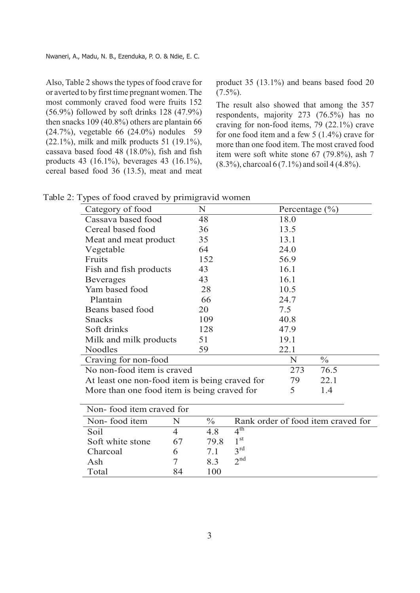Also, Table 2 shows the types of food crave for or averted to by first time pregnant women. The most commonly craved food were fruits 152 (56.9%) followed by soft drinks 128 (47.9%) then snacks 109 (40.8%) others are plantain 66 (24.7%), vegetable 66 (24.0%) nodules 59 (22.1%), milk and milk products 51 (19.1%), cassava based food 48 (18.0%), fish and fish products 43 (16.1%), beverages 43 (16.1%), cereal based food 36 (13.5), meat and meat product 35 (13.1%) and beans based food 20  $(7.5\%)$ .

The result also showed that among the 357 respondents, majority 273 (76.5%) has no craving for non-food items, 79 (22.1%) crave for one food item and a few 5 (1.4%) crave for more than one food item. The most craved food item were soft white stone 67 (79.8%), ash 7  $(8.3\%)$ , charcoal 6 (7.1%) and soil 4 (4.8%).

| Category of food                               | N   | Percentage $(\% )$ |               |
|------------------------------------------------|-----|--------------------|---------------|
| Cassava based food                             | 48  | 18.0               |               |
| Cereal based food                              | 36  | 13.5               |               |
| Meat and meat product                          | 35  | 13.1               |               |
| Vegetable                                      | 64  | 24.0               |               |
| Fruits                                         | 152 | 56.9               |               |
| Fish and fish products                         | 43  | 16.1               |               |
| <b>Beverages</b>                               | 43  | 16.1               |               |
| Yam based food                                 | 28  | 10.5               |               |
| Plantain                                       | 66  | 24.7               |               |
| Beans based food                               | 20  | 7.5                |               |
| <b>Snacks</b>                                  | 109 | 40.8               |               |
| Soft drinks                                    | 128 | 47.9               |               |
| Milk and milk products                         | 51  | 19.1               |               |
| Noodles                                        | 59  | 22.1               |               |
| Craving for non-food                           |     | N                  | $\frac{0}{0}$ |
| No non-food item is craved                     | 273 | 76.5               |               |
| At least one non-food item is being craved for | 79  | 22.1               |               |
| More than one food item is being craved for    |     | 5                  | 1.4           |
| Non food item crayed for                       |     |                    |               |

| <b><i>NOII-TOOG REHI CRAVEG TOL</i></b> |    |               |                                    |  |  |
|-----------------------------------------|----|---------------|------------------------------------|--|--|
| Non-food item                           |    | $\frac{0}{0}$ | Rank order of food item craved for |  |  |
| Soil                                    |    | 4.8           | $\Lambda^{\text{th}}$              |  |  |
| Soft white stone                        | 67 | 79.8          | 1 st                               |  |  |
| Charcoal                                |    |               | $2^{\text{rd}}$                    |  |  |
| Ash                                     |    | 83            | $2^{nd}$                           |  |  |
| Total                                   | 84 | 100           |                                    |  |  |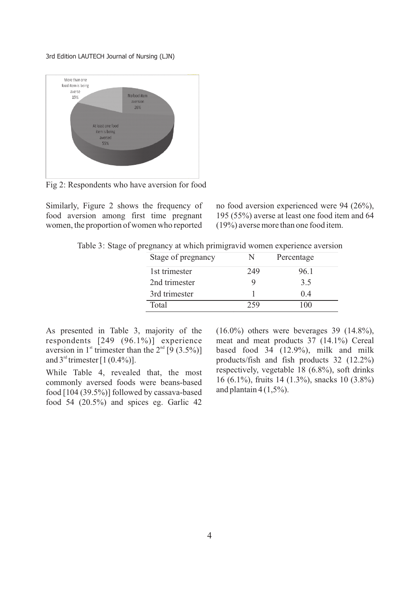

Fig 2: Respondents who have aversion for food

Similarly, Figure 2 shows the frequency of food aversion among first time pregnant women, the proportion of women who reported

no food aversion experienced were 94 (26%), 195 (55%) averse at least one food item and 64 (19%) averse more than one food item.

Table 3: Stage of pregnancy at which primigravid women experience aversion

| Stage of pregnancy | N   | Percentage |
|--------------------|-----|------------|
| 1st trimester      | 249 | 96.1       |
| 2nd trimester      |     | 3.5        |
| 3rd trimester      |     | 04         |
| Total              | 259 | 100        |

As presented in Table 3, majority of the respondents [249 (96.1%)] experience aversion in 1<sup>st</sup> trimester than the  $2<sup>nd</sup>$  [9 (3.5%)] and  $3<sup>rd</sup>$  trimester [1 (0.4%)].

While Table 4, revealed that, the most commonly aversed foods were beans-based food [104 (39.5%)] followed by cassava-based food 54 (20.5%) and spices eg. Garlic 42

 $(16.0\%)$  others were beverages 39  $(14.8\%)$ , meat and meat products 37 (14.1%) Cereal based food 34 (12.9%), milk and milk products/fish and fish products 32 (12.2%) respectively, vegetable 18 (6.8%), soft drinks 16 (6.1%), fruits 14 (1.3%), snacks 10 (3.8%) and plantain  $4(1.5\%)$ .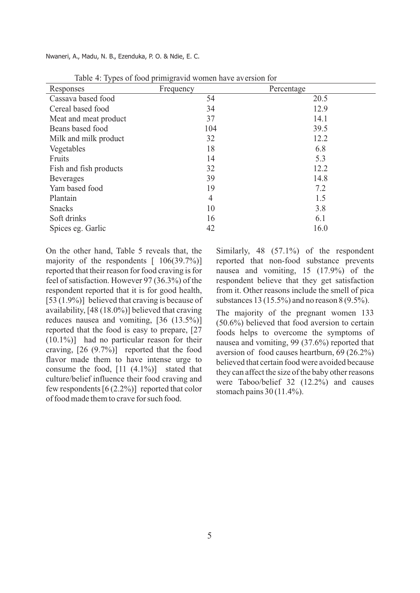Nwaneri, A., Madu, N. B., Ezenduka, P. O. & Ndie, E. C.

| Responses              | Frequency      | Percentage |
|------------------------|----------------|------------|
| Cassava based food     | 54             | 20.5       |
| Cereal based food      | 34             | 12.9       |
| Meat and meat product  | 37             | 14.1       |
| Beans based food       | 104            | 39.5       |
| Milk and milk product  | 32             | 12.2       |
| Vegetables             | 18             | 6.8        |
| Fruits                 | 14             | 5.3        |
| Fish and fish products | 32             | 12.2       |
| <b>Beverages</b>       | 39             | 14.8       |
| Yam based food         | 19             | 7.2        |
| Plantain               | $\overline{4}$ | 1.5        |
| <b>Snacks</b>          | 10             | 3.8        |
| Soft drinks            | 16             | 6.1        |
| Spices eg. Garlic      | 42             | 16.0       |

Table 4: Types of food primigravid women have aversion for

On the other hand, Table 5 reveals that, the majority of the respondents  $[106(39.7\%)]$ reported that their reason for food craving is for feel of satisfaction. However 97 (36.3%) of the respondent reported that it is for good health, [53 (1.9%)] believed that craving is because of availability, [48 (18.0%)] believed that craving reduces nausea and vomiting, [36 (13.5%)] reported that the food is easy to prepare, [27 (10.1%)] had no particular reason for their craving,  $[26 (9.7\%)]$  reported that the food flavor made them to have intense urge to consume the food,  $[11 (4.1\%)]$  stated that culture/belief influence their food craving and few respondents  $[6 (2.2\%)]$  reported that color of food made them to crave for such food.

Similarly, 48 (57.1%) of the respondent reported that non-food substance prevents nausea and vomiting, 15 (17.9%) of the respondent believe that they get satisfaction from it. Other reasons include the smell of pica substances 13 (15.5%) and no reason 8 (9.5%).

The majority of the pregnant women 133 (50.6%) believed that food aversion to certain foods helps to overcome the symptoms of nausea and vomiting, 99 (37.6%) reported that aversion of food causes heartburn, 69 (26.2%) believed that certain food were avoided because they can affect the size of the baby other reasons were Taboo/belief 32 (12.2%) and causes stomach pains 30 (11.4%).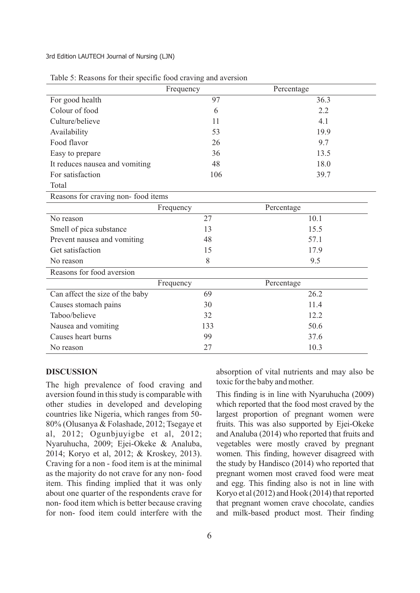|                                | Frequency | Percentage |
|--------------------------------|-----------|------------|
| For good health                | 97        | 36.3       |
| Colour of food                 | 6         | 2.2        |
| Culture/believe                | 11        | 4.1        |
| Availability                   | 53        | 19.9       |
| Food flavor                    | 26        | 9.7        |
| Easy to prepare                | 36        | 13.5       |
| It reduces nausea and vomiting | 48        | 18.0       |
| For satisfaction               | 106       | 39.7       |
| Total                          |           |            |

| Table 5: Reasons for their specific food craving and aversion |  |  |  |  |
|---------------------------------------------------------------|--|--|--|--|
|                                                               |  |  |  |  |
|                                                               |  |  |  |  |

Reasons for craving non- food items

|                                 | Frequency | Percentage |
|---------------------------------|-----------|------------|
| No reason                       | 27        | 10.1       |
| Smell of pica substance         | 13        | 15.5       |
| Prevent nausea and vomiting     | 48        | 57.1       |
| Get satisfaction                | 15        | 17.9       |
| No reason                       | 8         | 9.5        |
| Reasons for food aversion       |           |            |
|                                 | Frequency | Percentage |
| Can affect the size of the baby | 69        | 26.2       |
| Causes stomach pains            | 30        | 11.4       |
| Taboo/believe                   | 32        | 12.2       |
| Nausea and vomiting             | 133       | 50.6       |
| Causes heart burns              | 99        | 37.6       |
| No reason                       | 27        | 10.3       |

#### **DISCUSSION**

The high prevalence of food craving and aversion found in this study is comparable with other studies in developed and developing countries like Nigeria, which ranges from 50- 80% (Olusanya & Folashade, 2012; Tsegaye et al, 2012; Ogunbjuyigbe et al, 2012; Nyaruhucha, 2009; Ejei-Okeke & Analuba, 2014; Koryo et al, 2012; & Kroskey, 2013). Craving for a non - food item is at the minimal as the majority do not crave for any non- food item. This finding implied that it was only about one quarter of the respondents crave for non- food item which is better because craving for non- food item could interfere with the

6

absorption of vital nutrients and may also be toxic for the baby and mother.

This finding is in line with Nyaruhucha (2009) which reported that the food most craved by the largest proportion of pregnant women were fruits. This was also supported by Ejei-Okeke and Analuba (2014) who reported that fruits and vegetables were mostly craved by pregnant women. This finding, however disagreed with the study by Handisco (2014) who reported that pregnant women most craved food were meat and egg. This finding also is not in line with Koryo et al  $(2012)$  and Hook  $(2014)$  that reported that pregnant women crave chocolate, candies and milk-based product most. Their finding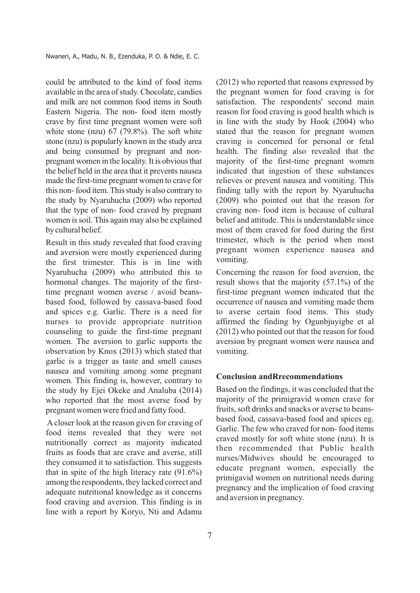could be attributed to the kind of food items available in the area ofstudy.Chocolate, candies and milk are not common food items in South Eastern Nigeria. The non- food item mostly crave by first time pregnant women were soft white stone (nzu) 67 (79.8%). The soft white stone (nzu) is popularly known in the study area and being consumed by pregnant and nonpregnant women in the locality. It is obvious that the belief held in the area that it prevents nausea made the first-time pregnant women to crave for this non-food item. This study is also contrary to the study by Nyaruhucha (2009) who reported that the type of non- food craved by pregnant women issoil. This again may also be explained by cultural belief.

Result in this study revealed that food craving and aversion were mostly experienced during the first trimester. This is in line with Nyaruhucha (2009) who attributed this to hormonal changes. The majority of the firsttime pregnant women averse / avoid beansbased food, followed by cassava-based food and spices e.g. Garlic. There is a need for nurses to provide appropriate nutrition counseling to guide the first-time pregnant women. The aversion to garlic supports the observation by Knox (2013) which stated that garlic is a trigger as taste and smell causes nausea and vomiting among some pregnant women. This finding is, however, contrary to the study by Ejei Okeke and Analuba (2014) who reported that the most averse food by pregnant women were fried and fatty food.

Acloser look at the reason given for craving of food items revealed that they were not nutritionally correct as majority indicated fruits as foods that are crave and averse, still they consumed it to satisfaction. This suggests that in spite of the high literacy rate  $(91.6\%)$ among the respondents, they lacked correct and adequate nutritional knowledge as it concerns food craving and aversion. This finding is in line with a report by Koryo, Nti and Adamu (2012) who reported that reasons expressed by the pregnant women for food craving is for satisfaction. The respondents' second main reason for food craving is good health which is in line with the study by Hook (2004) who stated that the reason for pregnant women craving is concerned for personal or fetal health. The finding also revealed that the majority of the first-time pregnant women indicated that ingestion of these substances relieves or prevent nausea and vomiting. This finding tally with the report by Nyaruhucha (2009) who pointed out that the reason for craving non- food item is because of cultural belief and attitude. This is understandable since most of them craved for food during the first trimester, which is the period when most pregnant women experience nausea and vomiting.

Concerning the reason for food aversion, the result shows that the majority (57.1%) of the first-time pregnant women indicated that the occurrence of nausea and vomiting made them to averse certain food items. This study affirmed the finding by Ogunbjuyigbe et al (2012) who pointed out that the reason for food aversion by pregnant women were nausea and vomiting.

## **Conclusion andRrecommendations**

Based on the findings, it was concluded that the majority of the primigravid women crave for fruits, soft drinks and snacks or averse to beansbased food, cassava-based food and spices eg. Garlic. The few who craved for non- food items craved mostly for soft white stone (nzu). It is then recommended that Public health nurses/Midwives should be encouraged to educate pregnant women, especially the primigavid women on nutritional needs during pregnancy and the implication of food craving and aversion in pregnancy.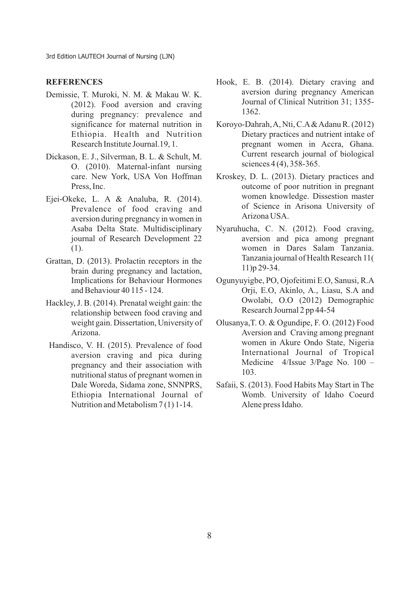## **REFERENCES**

- Demissie, T. Muroki, N. M. & Makau W. K. (2012). Food aversion and craving during pregnancy: prevalence and significance for maternal nutrition in Ethiopia. Health and Nutrition Research Institute Journal.19, 1.
- Dickason, E. J., Silverman, B. L. & Schult, M. O. (2010). Maternal-infant nursing care. New York, USA Von Hoffman Press, Inc.
- Ejei-Okeke, L. A & Analuba, R. (2014). Prevalence of food craving and aversion during pregnancy in women in Asaba Delta State. Multidisciplinary journal of Research Development 22 (1).
- Grattan, D. (2013). Prolactin receptors in the brain during pregnancy and lactation, Implications for Behaviour Hormones and Behaviour 40 115 - 124.
- Hackley, J. B. (2014). Prenatal weight gain: the relationship between food craving and weight gain. Dissertation, University of Arizona.
- Handisco, V. H. (2015). Prevalence of food aversion craving and pica during pregnancy and their association with nutritional status of pregnant women in Dale Woreda, Sidama zone, SNNPRS, Ethiopia International Journal of Nutrition and Metabolism 7 (1) 1-14.
- Hook, E. B. (2014). Dietary craving and aversion during pregnancy American Journal of Clinical Nutrition 31; 1355- 1362.
- Koroyo-Dahrah, A, Nti, C.A& Adanu R. (2012) Dietary practices and nutrient intake of pregnant women in Accra, Ghana. Current research journal of biological sciences 4 (4), 358-365.
- Kroskey, D. L. (2013). Dietary practices and outcome of poor nutrition in pregnant women knowledge. Dissestion master of Science in Arisona University of Arizona USA.
- Nyaruhucha, C. N. (2012). Food craving, aversion and pica among pregnant women in Dares Salam Tanzania. Tanzania journal of Health Research 11( 11)p 29-34.
- Ogunyuyigbe, PO, Ojofeitimi E.O, Sanusi, R.A Orji, E.O, Akinlo, A., Liasu, S.A and Owolabi, O.O (2012) Demographic Research Journal 2 pp 44-54
- Olusanya,T. O. & Ogundipe, F. O. (2012) Food Aversion and Craving among pregnant women in Akure Ondo State, Nigeria International Journal of Tropical Medicine 4/Issue 3/Page No. 100 – 103.
- Safaii, S. (2013). Food Habits May Start in The Womb. University of Idaho Coeurd Alene press Idaho.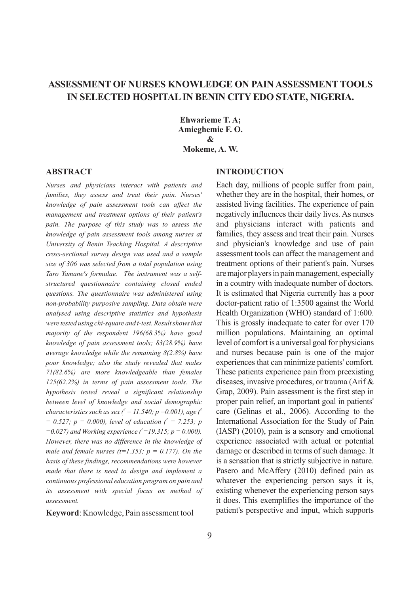# **ASSESSMENT OF NURSES KNOWLEDGE ON PAIN ASSESSMENTTOOLS IN SELECTED HOSPITALIN BENIN CITY EDO STATE, NIGERIA.**

**Ehwarieme T. A; Amieghemie F. O. & Mokeme, A. W.**

#### **ABSTRACT**

*Nurses and physicians interact with patients and families, they assess and treat their pain. Nurses' knowledge of pain assessment tools can affect the management and treatment options of their patient's pain. The purpose of this study was to assess the knowledge of pain assessment tools among nurses at University of Benin Teaching Hospital. A descriptive cross-sectional survey design was used and a sample size of 306 was selected from a total population using Taro Yamane's formulae. The instrument was a selfstructured questionnaire containing closed ended questions. The questionnaire was administered using non-probability purposive sampling. Data obtain were analysed using descriptive statistics and hypothesis were tested using chi-square and t-test. Result shows that majority of the respondent 196(68.3%) have good knowledge of pain assessment tools; 83(28.9%) have average knowledge while the remaining 8(2.8%) have poor knowledge; also the study revealed that males 71(82.6%) are more knowledgeable than females 125(62.2%) in terms of pain assessment tools. The hypothesis tested reveal a significant relationship between level of knowledge and social demographic 2 2 characteristics such as sex ( = 11.540; p =0.001), age (*  $= 0.527$ ;  $p = 0.000$ ), level of education  $\ell^2 = 7.253$ ; p  $= 0.027$ ) and Working experience  $\ell^2 = 19.315$ ; p = 0.000). *However, there was no difference in the knowledge of male and female nurses (t=1.353; p = 0.177). On the basis of these findings, recommendations were however made that there is need to design and implement a continuous professional education program on pain and its assessment with special focus on method of assessment.* 

**Keyword**: Knowledge, Pain assessment tool

## **INTRODUCTION**

Each day, millions of people suffer from pain, whether they are in the hospital, their homes, or assisted living facilities. The experience of pain negatively influences their daily lives. As nurses and physicians interact with patients and families, they assess and treat their pain. Nurses and physician's knowledge and use of pain assessment tools can affect the management and treatment options of their patient's pain. Nurses are major players in pain management, especially in a country with inadequate number of doctors. It is estimated that Nigeria currently has a poor doctor-patient ratio of 1:3500 against the World Health Organization (WHO) standard of 1:600. This is grossly inadequate to cater for over 170 million populations. Maintaining an optimal level of comfort is a universal goal for physicians and nurses because pain is one of the major experiences that can minimize patients' comfort. These patients experience pain from preexisting diseases, invasive procedures, or trauma (Arif & Grap, 2009). Pain assessment is the first step in proper pain relief, an important goal in patients' care (Gelinas et al., 2006). According to the International Association for the Study of Pain (IASP) (2010), pain is a sensory and emotional experience associated with actual or potential damage or described in terms of such damage. It is a sensation that is strictly subjective in nature. Pasero and McAffery (2010) defined pain as whatever the experiencing person says it is, existing whenever the experiencing person says it does. This exemplifies the importance of the patient's perspective and input, which supports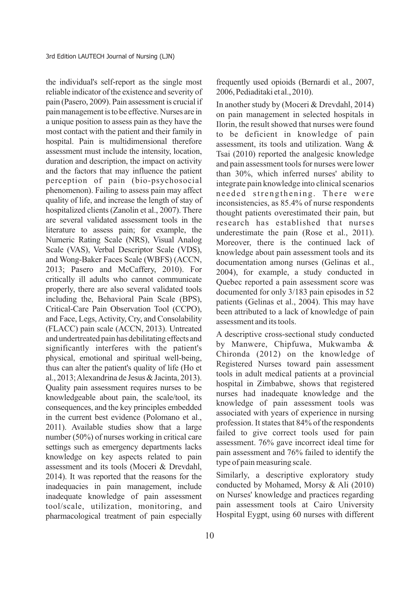the individual's self-report as the single most reliable indicator of the existence and severity of pain (Pasero, 2009). Pain assessment is crucial if painmanagement isto be effective.Nurses are in a unique position to assess pain as they have the most contact with the patient and their family in hospital. Pain is multidimensional therefore assessment must include the intensity, location, duration and description, the impact on activity and the factors that may influence the patient perception of pain (bio-psychosocial phenomenon). Failing to assess pain may affect quality of life, and increase the length of stay of hospitalized clients (Zanolin et al., 2007). There are several validated assessment tools in the literature to assess pain; for example, the Numeric Rating Scale (NRS), Visual Analog Scale (VAS), Verbal Descriptor Scale (VDS), and Wong-Baker Faces Scale (WBFS) (ACCN, 2013; Pasero and McCaffery, 2010). For critically ill adults who cannot communicate properly, there are also several validated tools including the, Behavioral Pain Scale (BPS), Critical-Care Pain Observation Tool (CCPO), and Face, Legs, Activity, Cry, and Consolability (FLACC) pain scale (ACCN, 2013). Untreated and undertreated pain has debilitating effects and significantly interferes with the patient's physical, emotional and spiritual well-being, thus can alter the patient's quality of life (Ho et al., 2013;Alexandrina de Jesus&Jacinta, 2013). Quality pain assessment requires nurses to be knowledgeable about pain, the scale/tool, its consequences, and the key principles embedded in the current best evidence (Polomano et al., 2011). Available studies show that a large number (50%) of nurses working in critical care settings such as emergency departments lacks knowledge on key aspects related to pain assessment and its tools (Moceri & Drevdahl, 2014). It was reported that the reasons for the inadequacies in pain management, include inadequate knowledge of pain assessment tool/scale, utilization, monitoring, and pharmacological treatment of pain especially

frequently used opioids (Bernardi et al., 2007, 2006,Pediaditaki et al.,2010).

In another study by (Moceri & Drevdahl, 2014) on pain management in selected hospitals in Ilorin, the result showed that nurses were found to be deficient in knowledge of pain assessment, its tools and utilization. Wang & Tsai (2010) reported the analgesic knowledge and pain assessment tools for nurses were lower than 30%, which inferred nurses' ability to integrate pain knowledge into clinical scenarios needed strengthening. There were inconsistencies, as 85.4% of nurse respondents thought patients overestimated their pain, but research has established that nurses underestimate the pain (Rose et al., 2011). Moreover, there is the continued lack of knowledge about pain assessment tools and its documentation among nurses (Gelinas et al., 2004), for example, a study conducted in Quebec reported a pain assessment score was documented for only 3/183 pain episodes in 52 patients (Gelinas et al., 2004). This may have been attributed to a lack of knowledge of pain assessment and its tools.

A descriptive cross-sectional study conducted by Manwere, Chipfuwa, Mukwamba & Chironda (2012) on the knowledge of Registered Nurses toward pain assessment tools in adult medical patients at a provincial hospital in Zimbabwe, shows that registered nurses had inadequate knowledge and the knowledge of pain assessment tools was associated with years of experience in nursing profession. It states that 84% of the respondents failed to give correct tools used for pain assessment. 76% gave incorrect ideal time for pain assessment and 76% failed to identify the type of pain measuring scale.

Similarly, a descriptive exploratory study conducted by Mohamed, Morsy & Ali (2010) on Nurses' knowledge and practices regarding pain assessment tools at Cairo University Hospital Eygpt, using 60 nurses with different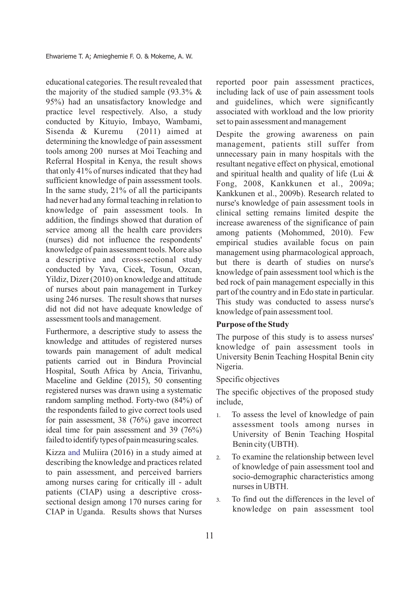educational categories. The result revealed that the majority of the studied sample  $(93.3\% \& )$ 95%) had an unsatisfactory knowledge and practice level respectively. Also, a study conducted by Kituyio, Imbayo, Wambami, Sisenda & Kuremu (2011) aimed at determining the knowledge of pain assessment tools among 200 nurses at Moi Teaching and Referral Hospital in Kenya, the result shows that only 41% of nurses indicated that they had sufficient knowledge of pain assessment tools. In the same study, 21% of all the participants had never had any formal teaching in relation to knowledge of pain assessment tools. In addition, the findings showed that duration of service among all the health care providers (nurses) did not influence the respondents' knowledge of pain assessment tools. More also a descriptive and cross-sectional study conducted by Yava, Cicek, Tosun, Ozcan, Yildiz, Dizer (2010) on knowledge and attitude of nurses about pain management in Turkey using 246 nurses. The result shows that nurses did not did not have adequate knowledge of assessment tools and management.

Furthermore, a descriptive study to assess the knowledge and attitudes of registered nurses towards pain management of adult medical patients carried out in Bindura Provincial Hospital, South Africa by Ancia, Tirivanhu, Maceline and Geldine (2015), 50 consenting registered nurses was drawn using a systematic random sampling method. Forty-two (84%) of the respondents failed to give correct tools used for pain assessment,  $38$  (76%) gave incorrect ideal time for pain assessment and 39 (76%) failed to identify types of pain measuring scales.

Kizza and Muliira  $(2016)$  in a study aimed at describing the knowledge and practices related to pain assessment, and perceived barriers among nurses caring for critically ill - adult patients (CIAP) using a descriptive crosssectional design among 170 nurses caring for CIAP in Uganda. Results shows that Nurses

reported poor pain assessment practices, including lack of use of pain assessment tools and guidelines, which were significantly associated with workload and the low priority set to pain assessment and management

Despite the growing awareness on pain management, patients still suffer from unnecessary pain in many hospitals with the resultant negative effect on physical, emotional and spiritual health and quality of life (Lui & Fong, 2008, Kankkunen et al., 2009a; Kankkunen et al., 2009b). Research related to nurse's knowledge of pain assessment tools in clinical setting remains limited despite the increase awareness of the significance of pain among patients (Mohommed, 2010). Few empirical studies available focus on pain management using pharmacological approach, but there is dearth of studies on nurse's knowledge of pain assessment tool which is the bed rock of pain management especially in this part of the country and in Edo state in particular. This study was conducted to assess nurse's knowledge of pain assessment tool.

## **Purpose of the Study**

The purpose of this study is to assess nurses' knowledge of pain assessment tools in University Benin Teaching Hospital Benin city Nigeria.

#### Specific objectives

The specific objectives of the proposed study include,

- 1. To assess the level of knowledge of pain assessment tools among nurses in University of Benin Teaching Hospital Benin city (UBTH).
- 2. To examine the relationship between level of knowledge of pain assessment tool and socio-demographic characteristics among nurses in UBTH.
- 3. To find out the differences in the level of knowledge on pain assessment tool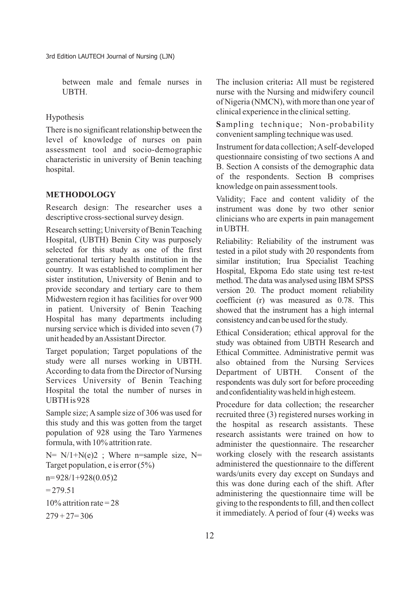between male and female nurses in **UBTH** 

## Hypothesis

There is no significant relationship between the level of knowledge of nurses on pain assessment tool and socio-demographic characteristic in university of Benin teaching hospital.

## **METHODOLOGY**

Research design: The researcher uses a descriptive cross-sectional survey design.

Research setting; University of Benin Teaching Hospital, (UBTH) Benin City was purposely selected for this study as one of the first generational tertiary health institution in the country. It was established to compliment her sister institution, University of Benin and to provide secondary and tertiary care to them Midwestern region it has facilities for over 900 in patient. University of Benin Teaching Hospital has many departments including nursing service which is divided into seven (7) unit headed by an Assistant Director.

Target population; Target populations of the study were all nurses working in UBTH. According to data from the Director of Nursing Services University of Benin Teaching Hospital the total the number of nurses in UBTH is 928

Sample size; A sample size of 306 was used for this study and this was gotten from the target population of 928 using the Taro Yarmenes formula, with 10% attrition rate.

 $N= N/1+N(e)2$ ; Where n=sample size, N= Target population, e is error (5%)

n= 928/1+928(0.05)2

 $= 279.51$ 

 $10\%$  attrition rate = 28

 $279 + 27 = 306$ 

The inclusion criteria**:** All must be registered nurse with the Nursing and midwifery council of Nigeria (NMCN), with more than one year of clinical experience in the clinical setting.

**S**ampling technique; Non-probability convenient sampling technique was used.

Instrument for data collection; Aself-developed questionnaire consisting of two sections A and B. Section A consists of the demographic data of the respondents. Section B comprises knowledge on pain assessment tools.

Validity; Face and content validity of the instrument was done by two other senior clinicians who are experts in pain management in UBTH.

Reliability: Reliability of the instrument was tested in a pilot study with 20 respondents from similar institution; Irua Specialist Teaching Hospital, Ekpoma Edo state using test re-test method. The data was analysed using IBM SPSS version 20. The product moment reliability coefficient (r) was measured as 0.78. This showed that the instrument has a high internal consistencyandcanbeusedforthe study.

Ethical Consideration; ethical approval for the study was obtained from UBTH Research and Ethical Committee. Administrative permit was also obtained from the Nursing Services Department of UBTH. Consent of the respondents was duly sort for before proceeding and confidentiality was held in high esteem.

Procedure for data collection; the researcher recruited three (3) registered nurses working in the hospital as research assistants. These research assistants were trained on how to administer the questionnaire. The researcher working closely with the research assistants administered the questionnaire to the different wards/units every day except on Sundays and this was done during each of the shift. After administering the questionnaire time will be giving to the respondents to fill, and then collect it immediately. A period of four (4) weeks was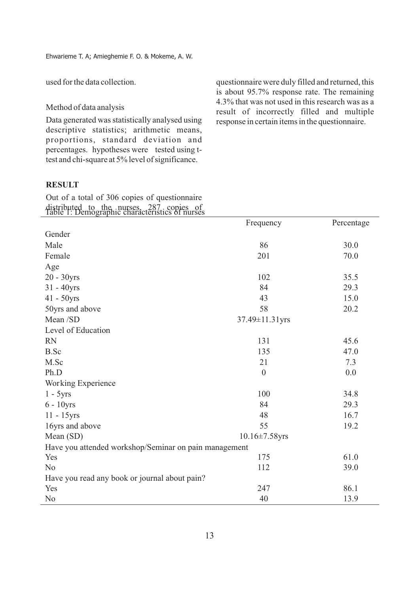used for the data collection.

Method of data analysis

Data generated was statistically analysed using descriptive statistics; arithmetic means, proportions, standard deviation and percentages. hypotheses were tested using ttest and chi-square at 5% level of significance.

questionnaire were duly filled and returned, this is about 95.7% response rate. The remaining 4.3% that was not used in this research was as a result of incorrectly filled and multiple response in certain items in the questionnaire.

## **RESULT**

distributed to the nurses, 287 copies of<br>Table 1: Demographic characteristics of nurses Out of a total of 306 copies of questionnaire

| $\mathbf{w}$ $\mathbf{w}$ $\mathbf{w}$ $\mathbf{w}$ $\mathbf{w}$ $\mathbf{w}$<br>raphie characteristics of harses | Frequency            | Percentage |
|-------------------------------------------------------------------------------------------------------------------|----------------------|------------|
| Gender                                                                                                            |                      |            |
| Male                                                                                                              | 86                   | 30.0       |
| Female                                                                                                            | 201                  | 70.0       |
| Age                                                                                                               |                      |            |
| $20 - 30yrs$                                                                                                      | 102                  | 35.5       |
| $31 - 40yrs$                                                                                                      | 84                   | 29.3       |
| $41 - 50yrs$                                                                                                      | 43                   | 15.0       |
| 50yrs and above                                                                                                   | 58                   | 20.2       |
| Mean /SD                                                                                                          | 37.49±11.31yrs       |            |
| Level of Education                                                                                                |                      |            |
| <b>RN</b>                                                                                                         | 131                  | 45.6       |
| B.Sc                                                                                                              | 135                  | 47.0       |
| M.Sc                                                                                                              | 21                   | 7.3        |
| Ph.D                                                                                                              | $\boldsymbol{0}$     | 0.0        |
| Working Experience                                                                                                |                      |            |
| $1 - 5yrs$                                                                                                        | 100                  | 34.8       |
| $6 - 10yrs$                                                                                                       | 84                   | 29.3       |
| 11 - 15yrs                                                                                                        | 48                   | 16.7       |
| 16yrs and above                                                                                                   | 55                   | 19.2       |
| Mean (SD)                                                                                                         | $10.16 \pm 7.58$ yrs |            |
| Have you attended workshop/Seminar on pain management                                                             |                      |            |
| Yes                                                                                                               | 175                  | 61.0       |
| N <sub>o</sub>                                                                                                    | 112                  | 39.0       |
| Have you read any book or journal about pain?                                                                     |                      |            |
| Yes                                                                                                               | 247                  | 86.1       |
| N <sub>0</sub>                                                                                                    | 40                   | 13.9       |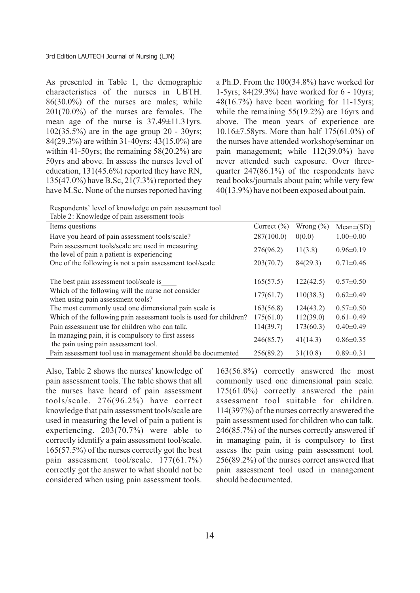As presented in Table 1, the demographic characteristics of the nurses in UBTH. 86(30.0%) of the nurses are males; while 201(70.0%) of the nurses are females. The mean age of the nurse is 37.49±11.31yrs. 102(35.5%) are in the age group 20 - 30yrs; 84(29.3%) are within 31-40yrs; 43(15.0%) are within 41-50yrs; the remaining 58(20.2%) are 50yrs and above. In assess the nurses level of education, 131(45.6%) reported they have RN, 135(47.0%) have B.Sc, 21(7.3%) reported they have M.Sc. None of the nurses reported having

a Ph.D. From the 100(34.8%) have worked for 1-5yrs; 84(29.3%) have worked for 6 - 10yrs; 48(16.7%) have been working for 11-15yrs; while the remaining 55(19.2%) are 16yrs and above. The mean years of experience are 10.16±7.58yrs. More than half 175(61.0%) of the nurses have attended workshop/seminar on pain management; while 112(39.0%) have never attended such exposure. Over threequarter 247(86.1%) of the respondents have read books/journals about pain; while very few 40(13.9%) have not been exposed about pain.

Respondents' level of knowledge on pain assessment tool

| Table 2: Knowledge of pain assessment tools                                                      |                 |               |                 |
|--------------------------------------------------------------------------------------------------|-----------------|---------------|-----------------|
| Items questions                                                                                  | Correct $(\% )$ | Wrong $(\% )$ | $Mean\pm(SD)$   |
| Have you heard of pain assessment tools/scale?                                                   | 287(100.0)      | 0(0.0)        | $1.00 \pm 0.00$ |
| Pain assessment tools/scale are used in measuring<br>the level of pain a patient is experiencing | 276(96.2)       | 11(3.8)       | $0.96 \pm 0.19$ |
| One of the following is not a pain assessment tool/scale                                         | 203(70.7)       | 84(29.3)      | $0.71 \pm 0.46$ |
|                                                                                                  |                 |               |                 |
| The best pain assessment tool/scale is                                                           | 165(57.5)       | 122(42.5)     | $0.57 \pm 0.50$ |
| Which of the following will the nurse not consider<br>when using pain assessment tools?          | 177(61.7)       | 110(38.3)     | $0.62 \pm 0.49$ |
| The most commonly used one dimensional pain scale is                                             | 163(56.8)       | 124(43.2)     | $0.57 \pm 0.50$ |
| Which of the following pain assessment tools is used for children?                               | 175(61.0)       | 112(39.0)     | $0.61 \pm 0.49$ |
| Pain assessment use for children who can talk.                                                   | 114(39.7)       | 173(60.3)     | $0.40 \pm 0.49$ |
| In managing pain, it is compulsory to first assess<br>the pain using pain assessment tool.       | 246(85.7)       | 41(14.3)      | $0.86 \pm 0.35$ |
| Pain assessment tool use in management should be documented                                      | 256(89.2)       | 31(10.8)      | $0.89 \pm 0.31$ |

Also, Table 2 shows the nurses' knowledge of pain assessment tools. The table shows that all the nurses have heard of pain assessment tools/scale. 276(96.2%) have correct knowledge that pain assessment tools/scale are used in measuring the level of pain a patient is experiencing. 203(70.7%) were able to correctly identify a pain assessment tool/scale. 165(57.5%) of the nurses correctly got the best pain assessment tool/scale. 177(61.7%) correctly got the answer to what should not be considered when using pain assessment tools.

163(56.8%) correctly answered the most commonly used one dimensional pain scale. 175(61.0%) correctly answered the pain assessment tool suitable for children. 114(397%) of the nurses correctly answered the pain assessment used for children who can talk. 246(85.7%) of the nurses correctly answered if in managing pain, it is compulsory to first assess the pain using pain assessment tool. 256(89.2%) of the nurses correct answered that pain assessment tool used in management should be documented.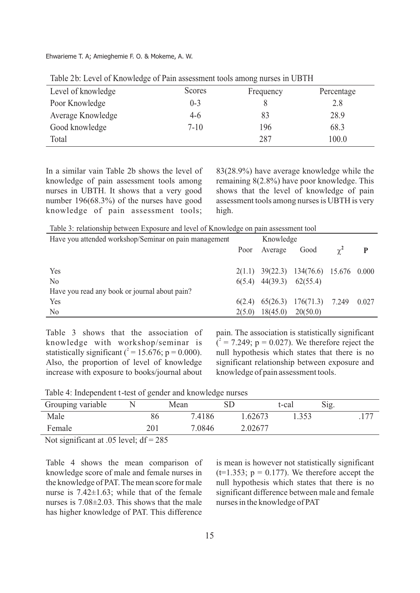Ehwarieme T. A; Amieghemie F. O. & Mokeme, A. W.

| Level of knowledge | <b>Scores</b> | Frequency | Percentage |
|--------------------|---------------|-----------|------------|
| Poor Knowledge     | $0 - 3$       |           | 2.8        |
| Average Knowledge  | 4-6           | 83        | 28.9       |
| Good knowledge     | $7 - 10$      | 196       | 68.3       |
| Total              |               | 287       | 100.0      |

Table 2b: Level of Knowledge of Pain assessment tools among nurses in UBTH

In a similar vain Table 2b shows the level of knowledge of pain assessment tools among nurses in UBTH. It shows that a very good number 196(68.3%) of the nurses have good knowledge of pain assessment tools;

83(28.9%) have average knowledge while the remaining 8(2.8%) have poor knowledge. This shows that the level of knowledge of pain assessment tools among nurses is UBTH is very high.

Table 3: relationship between Exposure and level of Knowledge on pain assessment tool

| Have you attended workshop/Seminar on pain management |        | Knowledge                      |                                                |            |       |
|-------------------------------------------------------|--------|--------------------------------|------------------------------------------------|------------|-------|
|                                                       | Poor   | Average                        | Good                                           | $\gamma^2$ | P     |
|                                                       |        |                                |                                                |            |       |
| Yes                                                   |        |                                | $2(1.1)$ $39(22.3)$ $134(76.6)$ $15.676$ 0.000 |            |       |
| N <sub>0</sub>                                        |        | $6(5.4)$ $44(39.3)$ $62(55.4)$ |                                                |            |       |
| Have you read any book or journal about pain?         |        |                                |                                                |            |       |
| Yes                                                   | 6(2.4) |                                | $65(26.3)$ $176(71.3)$ 7.249                   |            | 0.027 |
| N <sub>0</sub>                                        | 2(5.0) | 18(45.0)                       | 20(50.0)                                       |            |       |

Table 3 shows that the association of knowledge with workshop/seminar is statistically significant  $(^{2} = 15.676; p = 0.000)$ . Also, the proportion of level of knowledge increase with exposure to books/journal about

pain. The association is statistically significant  $(2 = 7.249; p = 0.027)$ . We therefore reject the null hypothesis which states that there is no significant relationship between exposure and knowledge of pain assessment tools.

| Table 4: Independent t-test of gender and knowledge nurses |  |  |
|------------------------------------------------------------|--|--|
|------------------------------------------------------------|--|--|

| Grouping variable                                                                                                                                  |     | Mean   | ${\rm SD}$ | t-cal | Sig. |
|----------------------------------------------------------------------------------------------------------------------------------------------------|-----|--------|------------|-------|------|
| Male                                                                                                                                               | 86  | 7.4186 | .62673     | .353  | 77   |
| Female                                                                                                                                             | 201 | 7.0846 | 2.02677    |       |      |
| $\mathcal{M}_{\text{eff}}$ is $\mathcal{M}_{\text{eff}}$ is $\mathcal{M}_{\text{eff}}$ of $\mathcal{M}_{\text{eff}}$ is $\mathcal{M}_{\text{eff}}$ |     |        |            |       |      |

Not significant at .05 level;  $df = 285$ 

Table 4 shows the mean comparison of knowledge score of male and female nurses in the knowledge of PAT. The mean score for male nurse is  $7.42 \pm 1.63$ ; while that of the female nurses is 7.08±2.03. This shows that the male has higher knowledge of PAT. This difference

is mean is however not statistically significant  $(t=1.353; p = 0.177)$ . We therefore accept the null hypothesis which states that there is no significant difference between male and female nurses in the knowledge of PAT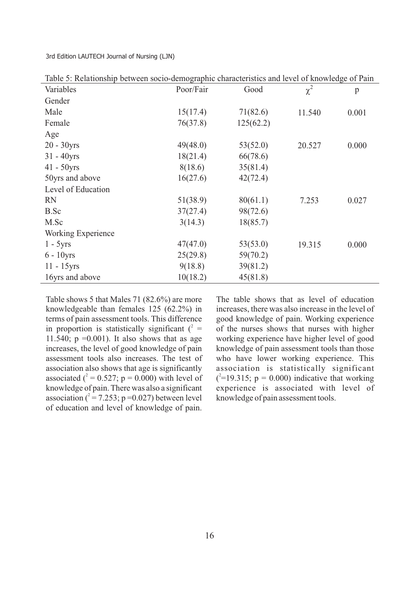| Variables          | Poor/Fair | Good      | $\chi^2$ | $\mathbf{p}$ |
|--------------------|-----------|-----------|----------|--------------|
| Gender             |           |           |          |              |
| Male               | 15(17.4)  | 71(82.6)  | 11.540   | 0.001        |
| Female             | 76(37.8)  | 125(62.2) |          |              |
| Age                |           |           |          |              |
| $20 - 30yrs$       | 49(48.0)  | 53(52.0)  | 20.527   | 0.000        |
| $31 - 40$ yrs      | 18(21.4)  | 66(78.6)  |          |              |
| $41 - 50yrs$       | 8(18.6)   | 35(81.4)  |          |              |
| 50yrs and above    | 16(27.6)  | 42(72.4)  |          |              |
| Level of Education |           |           |          |              |
| <b>RN</b>          | 51(38.9)  | 80(61.1)  | 7.253    | 0.027        |
| B.Sc               | 37(27.4)  | 98(72.6)  |          |              |
| M.Sc               | 3(14.3)   | 18(85.7)  |          |              |
| Working Experience |           |           |          |              |
| $1 - 5yrs$         | 47(47.0)  | 53(53.0)  | 19.315   | 0.000        |
| $6 - 10$ yrs       | 25(29.8)  | 59(70.2)  |          |              |
| $11 - 15$ yrs      | 9(18.8)   | 39(81.2)  |          |              |
| 16yrs and above    | 10(18.2)  | 45(81.8)  |          |              |

Table 5: Relationship between socio-demographic characteristics and level of knowledge of Pain

Table shows 5 that Males 71 (82.6%) are more knowledgeable than females 125 (62.2%) in terms of pain assessment tools. This difference in proportion is statistically significant  $(2 =$ 11.540;  $p = 0.001$ ). It also shows that as age increases, the level of good knowledge of pain assessment tools also increases. The test of association also shows that age is significantly associated  $(^{2} = 0.527; p = 0.000)$  with level of knowledge of pain. There was also a significant association  $(^{2} = 7.253; p = 0.027)$  between level of education and level of knowledge of pain.

The table shows that as level of education increases, there was also increase in the level of good knowledge of pain. Working experience of the nurses shows that nurses with higher working experience have higher level of good knowledge of pain assessment tools than those who have lower working experience. This association is statistically significant  $(^{2}$ =19.315; p = 0.000) indicative that working experience is associated with level of knowledge of pain assessment tools.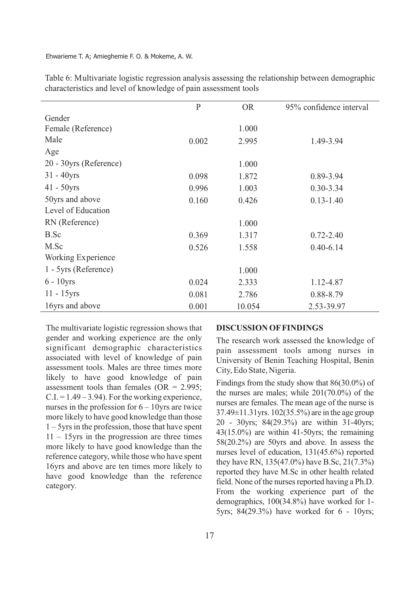|                        | $\mathbf{P}$ | <b>OR</b> | 95% confidence interval |
|------------------------|--------------|-----------|-------------------------|
| Gender                 |              |           |                         |
| Female (Reference)     |              | 1.000     |                         |
| Male                   | 0.002        | 2.995     | 1.49-3.94               |
| Age                    |              |           |                         |
| 20 - 30yrs (Reference) |              | 1.000     |                         |
| $31 - 40$ yrs          | 0.098        | 1.872     | 0.89-3.94               |
| $41 - 50yrs$           | 0.996        | 1.003     | $0.30 - 3.34$           |
| 50yrs and above        | 0.160        | 0.426     | $0.13 - 1.40$           |
| Level of Education     |              |           |                         |
| RN (Reference)         |              | 1.000     |                         |
| B.Sc                   | 0.369        | 1.317     | $0.72 - 2.40$           |
| M.Sc                   | 0.526        | 1.558     | $0.40 - 6.14$           |
| Working Experience     |              |           |                         |
| 1 - 5yrs (Reference)   |              | 1.000     |                         |
| $6 - 10$ yrs           | 0.024        | 2.333     | 1.12-4.87               |
| $11 - 15$ yrs          | 0.081        | 2.786     | 0.88-8.79               |
| 16yrs and above        | 0.001        | 10.054    | 2.53-39.97              |

Table 6: Multivariate logistic regression analysis assessing the relationship between demographic characteristics and level of knowledge of pain assessment tools

The multivariate logistic regression shows that gender and working experience are the only significant demographic characteristics associated with level of knowledge of pain assessment tools. Males are three times more likely to have good knowledge of pain assessment tools than females (OR  $= 2.995$ ;  $C.I. = 1.49 - 3.94$ . For the working experience, nurses in the profession for  $6 - 10$ yrs are twice more likely to have good knowledge than those  $1 - 5$ yrs in the profession, those that have spent  $11 - 15$ yrs in the progression are three times more likely to have good knowledge than the reference category, while those who have spent 16yrs and above are ten times more likely to have good knowledge than the reference category.

#### **DISCUSSION OFFINDINGS**

The research work assessed the knowledge of pain assessment tools among nurses in University of Benin Teaching Hospital, Benin City, Edo State, Nigeria.

Findings from the study show that 86(30.0%) of the nurses are males; while 201(70.0%) of the nurses are females. The mean age of the nurse is 37.49±11.31yrs. 102(35.5%) are in the age group 20 - 30yrs; 84(29.3%) are within 31-40yrs; 43(15.0%) are within 41-50yrs; the remaining 58(20.2%) are 50yrs and above. In assess the nurses level of education, 131(45.6%) reported they have RN, 135(47.0%) have B.Sc, 21(7.3%) reported they have M.Sc in other health related field. None of the nurses reported having a Ph.D. From the working experience part of the demographics, 100(34.8%) have worked for 1- 5yrs; 84(29.3%) have worked for 6 - 10yrs;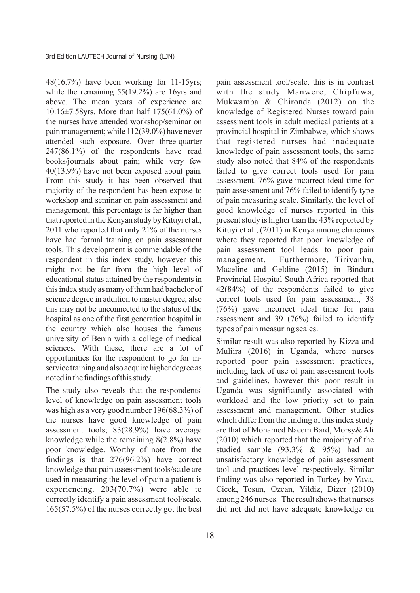48(16.7%) have been working for 11-15yrs; while the remaining 55(19.2%) are 16yrs and above. The mean years of experience are 10.16±7.58yrs. More than half 175(61.0%) of the nurses have attended workshop/seminar on painmanagement;while 112(39.0%) have never attended such exposure. Over three-quarter 247(86.1%) of the respondents have read books/journals about pain; while very few 40(13.9%) have not been exposed about pain. From this study it has been observed that majority of the respondent has been expose to workshop and seminar on pain assessment and management, this percentage is far higher than that reported in the Kenyan study by Kituyi et al., 2011 who reported that only 21% of the nurses have had formal training on pain assessment tools. This development is commendable of the respondent in this index study, however this might not be far from the high level of educational status attained by the respondents in this index study as many of them had bachelor of science degree in addition to master degree, also this may not be unconnected to the status of the hospital as one of the first generation hospital in the country which also houses the famous university of Benin with a college of medical sciences. With these, there are a lot of opportunities for the respondent to go for inservice training and also acquire higher degree as noted in the findings of this study.

The study also reveals that the respondents' level of knowledge on pain assessment tools was high as a very good number 196(68.3%) of the nurses have good knowledge of pain assessment tools; 83(28.9%) have average knowledge while the remaining 8(2.8%) have poor knowledge. Worthy of note from the findings is that 276(96.2%) have correct knowledge that pain assessment tools/scale are used in measuring the level of pain a patient is experiencing. 203(70.7%) were able to correctly identify a pain assessment tool/scale. 165(57.5%) of the nurses correctly got the best

pain assessment tool/scale. this is in contrast with the study Manwere, Chipfuwa, Mukwamba & Chironda (2012) on the knowledge of Registered Nurses toward pain assessment tools in adult medical patients at a provincial hospital in Zimbabwe, which shows that registered nurses had inadequate knowledge of pain assessment tools, the same study also noted that 84% of the respondents failed to give correct tools used for pain assessment. 76% gave incorrect ideal time for pain assessment and 76% failed to identify type of pain measuring scale. Similarly, the level of good knowledge of nurses reported in this present study is higher than the 43% reported by Kituyi et al., (2011) in Kenya among clinicians where they reported that poor knowledge of pain assessment tool leads to poor pain management. Furthermore, Tirivanhu, Maceline and Geldine (2015) in Bindura Provincial Hospital South Africa reported that 42(84%) of the respondents failed to give correct tools used for pain assessment, 38 (76%) gave incorrect ideal time for pain assessment and 39 (76%) failed to identify types of pain measuring scales.

Similar result was also reported by Kizza and Muliira (2016) in Uganda, where nurses reported poor pain assessment practices, including lack of use of pain assessment tools and guidelines, however this poor result in Uganda was significantly associated with workload and the low priority set to pain assessment and management. Other studies which differ from the finding of this index study are that of Mohamed Naeem Bard, Morsy& Ali (2010) which reported that the majority of the studied sample (93.3% & 95%) had an unsatisfactory knowledge of pain assessment tool and practices level respectively. Similar finding was also reported in Turkey by Yava, Cicek, Tosun, Ozcan, Yildiz, Dizer (2010) among 246 nurses. The result shows that nurses did not did not have adequate knowledge on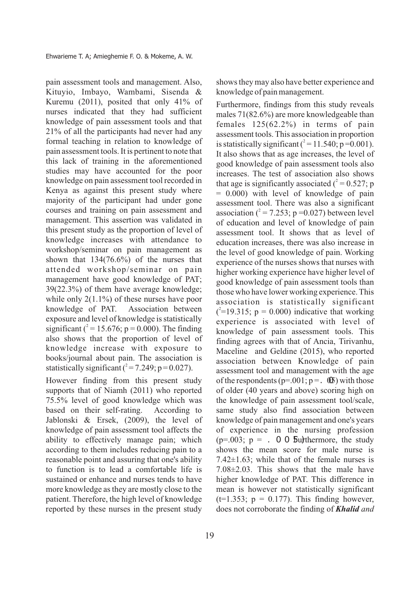pain assessment tools and management. Also, Kituyio, Imbayo, Wambami, Sisenda & Kuremu (2011), posited that only 41% of nurses indicated that they had sufficient knowledge of pain assessment tools and that 21% of all the participants had never had any formal teaching in relation to knowledge of pain assessment tools. It is pertinent to note that this lack of training in the aforementioned studies may have accounted for the poor knowledge on pain assessment tool recorded in Kenya as against this present study where majority of the participant had under gone courses and training on pain assessment and management. This assertion was validated in this present study as the proportion of level of knowledge increases with attendance to workshop/seminar on pain management as shown that 134(76.6%) of the nurses that attended workshop/seminar on pain management have good knowledge of PAT; 39(22.3%) of them have average knowledge; while only 2(1.1%) of these nurses have poor knowledge of PAT. Association between exposure and level of knowledge is statistically significant ( $^{2}$  = 15.676; p = 0.000). The finding also shows that the proportion of level of knowledge increase with exposure to books/journal about pain. The association is statistically significant  $(^{2} = 7.249; p = 0.027)$ .

However finding from this present study supports that of Niamh (2011) who reported 75.5% level of good knowledge which was based on their self-rating. According to Jablonski & Ersek, (2009), the level of knowledge of pain assessment tool affects the ability to effectively manage pain; which according to them includes reducing pain to a reasonable point and assuring that one's ability to function is to lead a comfortable life is sustained or enhance and nurses tends to have more knowledge as they are mostly close to the patient. Therefore, the high level of knowledge reported by these nurses in the present study shows they may also have better experience and knowledge of pain management.

Furthermore, findings from this study reveals males 71(82.6%) are more knowledgeable than females 125(62.2%) in terms of pain assessment tools. This association in proportion is statistically significant  $(^{2} = 11.540; p = 0.001)$ . It also shows that as age increases, the level of good knowledge of pain assessment tools also increases. The test of association also shows that age is significantly associated ( $^2$  = 0.527; p  $= 0.000$ ) with level of knowledge of pain assessment tool. There was also a significant association ( $^2$  = 7.253; p = 0.027) between level of education and level of knowledge of pain assessment tool. It shows that as level of education increases, there was also increase in the level of good knowledge of pain. Working experience of the nurses shows that nurses with higher working experience have higher level of good knowledge of pain assessment tools than those who have lower working experience. This association is statistically significant  $(^{2}$ =19.315; p = 0.000) indicative that working experience is associated with level of knowledge of pain assessment tools. This finding agrees with that of Ancia, Tirivanhu, Maceline and Geldine (2015), who reported association between Knowledge of pain assessment tool and management with the age of the respondents ( $p=.001$ ;  $p =.$   $\bullet$ ) with those of older (40 years and above) scoring high on the knowledge of pain assessment tool/scale, same study also find association between knowledge of pain management and one's years of experience in the nursing profession ( $p=.003$ ;  $p = .$  O O **5**u): the more, the study shows the mean score for male nurse is 7.42±1.63; while that of the female nurses is 7.08±2.03. This shows that the male have higher knowledge of PAT. This difference in mean is however not statistically significant  $(t=1.353; p = 0.177)$ . This finding however, does not corroborate the finding of *Khalid and*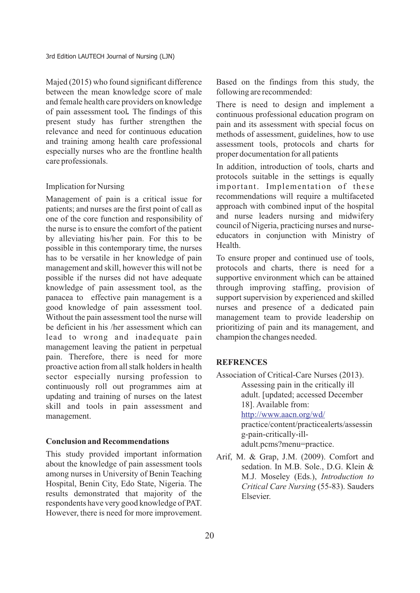Majed (2015) who found significant difference between the mean knowledge score of male and female health care providers on knowledge of pain assessment tool*.* The findings of this present study has further strengthen the relevance and need for continuous education and training among health care professional especially nurses who are the frontline health care professionals.

### Implication for Nursing

Management of pain is a critical issue for patients; and nurses are the first point of call as one of the core function and responsibility of the nurse is to ensure the comfort of the patient by alleviating his/her pain. For this to be possible in this contemporary time, the nurses has to be versatile in her knowledge of pain management and skill, however this will not be possible if the nurses did not have adequate knowledge of pain assessment tool, as the panacea to effective pain management is a good knowledge of pain assessment tool. Without the pain assessment tool the nurse will be deficient in his /her assessment which can lead to wrong and inadequate pain management leaving the patient in perpetual pain. Therefore, there is need for more proactive action from all stalk holders in health sector especially nursing profession to continuously roll out programmes aim at updating and training of nurses on the latest skill and tools in pain assessment and management.

### **Conclusion and Recommendations**

This study provided important information about the knowledge of pain assessment tools among nurses in University of Benin Teaching Hospital, Benin City, Edo State, Nigeria. The results demonstrated that majority of the respondents have very good knowledge of PAT. However, there is need for more improvement. Based on the findings from this study, the following are recommended:

There is need to design and implement a continuous professional education program on pain and its assessment with special focus on methods of assessment, guidelines, how to use assessment tools, protocols and charts for proper documentation for all patients

In addition, introduction of tools, charts and protocols suitable in the settings is equally important. Implementation of these recommendations will require a multifaceted approach with combined input of the hospital and nurse leaders nursing and midwifery council of Nigeria, practicing nurses and nurseeducators in conjunction with Ministry of Health.

To ensure proper and continued use of tools, protocols and charts, there is need for a supportive environment which can be attained through improving staffing, provision of support supervision by experienced and skilled nurses and presence of a dedicated pain management team to provide leadership on prioritizing of pain and its management, and champion the changes needed.

## **REFRENCES**

- Association of Critical-Care Nurses (2013). Assessing pain in the critically ill adult. [updated; accessed December 18]. Available from: practice/content/practicealerts/assessin g-pain-critically-illadult.pcms?menu=practice. <http://www.aacn.org/wd/>
- Arif, M. & Grap, J.M. (2009). Comfort and sedation. In M.B. Sole., D.G. Klein & M.J. Moseley (Eds.), *Introduction to Critical Care Nursing* (55-83). Sauders Elsevier.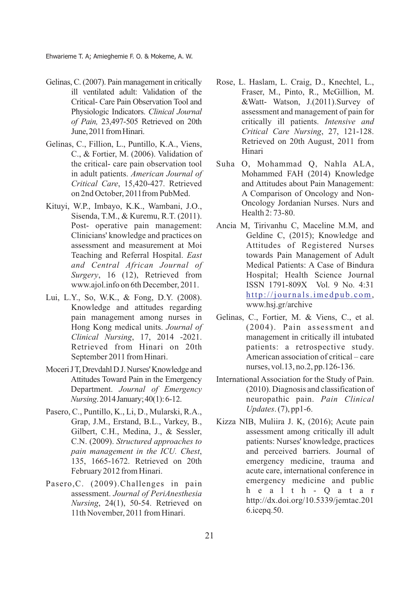Ehwarieme T. A; Amieghemie F. O. & Mokeme, A. W.

- Gelinas,C.(2007). Pain management in critically ill ventilated adult: Validation of the Critical- Care Pain Observation Tool and Physiologic Indicators. *Clinical Journal of Pain,* 23,497-505 Retrieved on 20th June, 2011 from Hinari.
- Gelinas, C., Fillion, L., Puntillo, K.A., Viens, C., & Fortier, M. (2006). Validation of the critical- care pain observation tool in adult patients. *American Journal of Critical Care*, 15,420-427. Retrieved on 2nd October, 2011from PubMed.
- Kituyi, W.P., Imbayo, K.K., Wambani, J.O., Sisenda, T.M., & Kuremu, R.T. (2011). Post- operative pain management: Clinicians' knowledge and practices on assessment and measurement at Moi Teaching and Referral Hospital. *East and Central African Journal of Surgery*, 16 (12), Retrieved from www.ajol.info on 6th December, 2011.
- Lui, L.Y., So, W.K., & Fong, D.Y. (2008). Knowledge and attitudes regarding pain management among nurses in Hong Kong medical units. *Journal of Clinical Nursing*, 17, 2014 -2021. Retrieved from Hinari on 20th September 2011 from Hinari.
- Moceri JT, Drevdahl D J. Nurses' Knowledge and Attitudes Toward Pain in the Emergency Department. *Journal of Emergency Nursing*.2014January;40(1):6-12.
- Pasero, C., Puntillo, K., Li, D., Mularski, R.A., Grap, J.M., Erstand, B.L., Varkey, B., Gilbert, C.H., Medina, J., & Sessler, C.N. (2009). *Structured approaches to pain management in the ICU. Chest*, 135, 1665-1672. Retrieved on 20th February 2012 from Hinari.
- Pasero,C. (2009).Challenges in pain assessment. *Journal of PeriAnesthesia Nursing*, 24(1), 50-54. Retrieved on 11th November, 2011 from Hinari.
- Rose, L. Haslam, L. Craig, D., Knechtel, L., Fraser, M., Pinto, R., McGillion, M. &Watt- Watson, J.(2011).Survey of assessment and management of pain for critically ill patients. *Intensive and Critical Care Nursing*, 27, 121-128. Retrieved on 20th August, 2011 from Hinari
- Suha O, Mohammad Q, Nahla ALA, Mohammed FAH (2014) Knowledge and Attitudes about Pain Management: A Comparison of Oncology and Non-Oncology Jordanian Nurses. Nurs and Health 2: 73-80.
- Ancia M, Tirivanhu C, Maceline M.M, and Geldine C, (2015); Knowledge and Attitudes of Registered Nurses towards Pain Management of Adult Medical Patients: A Case of Bindura Hospital; Health Science Journal ISSN 1791-809X Vol. 9 No. 4:31 http://journals.imedpub.com, www.hsj.gr/archive
- Gelinas, C., Fortier, M. & Viens, C., et al. (2004). Pain assessment and management in critically ill intubated patients: a retrospective study. American association of critical – care nurses, vol.13, no.2, pp.126-136.
- International Association for the Study of Pain. (2010). Diagnosis and classification of neuropathic pain. *Pain Clinical Updates*. (7), pp1-6.
- Kizza NIB, Muliira J. K, (2016); Acute pain assessment among critically ill adult patients: Nurses' knowledge, practices and perceived barriers. Journal of emergency medicine, trauma and acute care, international conference in emergency medicine and public h e a l t h - Q a t a r http://dx.doi.org/10.5339/jemtac.201 6.icepq.50.